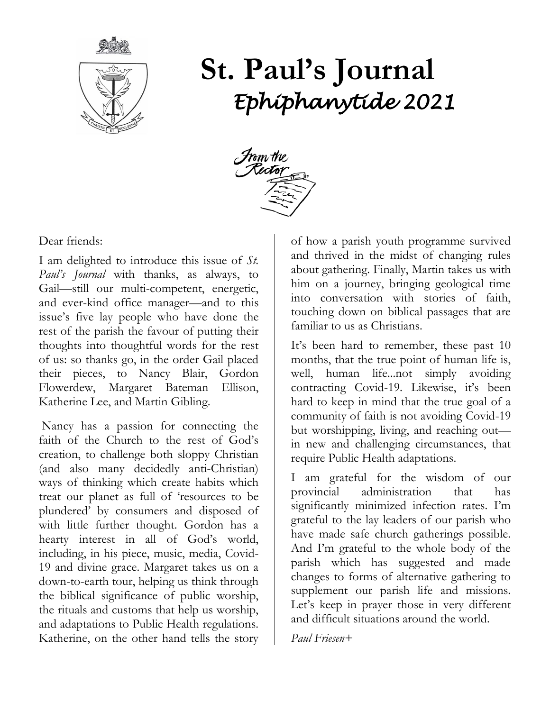

# **St. Paul's Journal** *Ephiphanytide 2021*



Dear friends:

I am delighted to introduce this issue of *St. Paul's Journal* with thanks, as always, to Gail—still our multi-competent, energetic, and ever-kind office manager—and to this issue's five lay people who have done the rest of the parish the favour of putting their thoughts into thoughtful words for the rest of us: so thanks go, in the order Gail placed their pieces, to Nancy Blair, Gordon Flowerdew, Margaret Bateman Ellison, Katherine Lee, and Martin Gibling.

Nancy has a passion for connecting the faith of the Church to the rest of God's creation, to challenge both sloppy Christian (and also many decidedly anti-Christian) ways of thinking which create habits which treat our planet as full of 'resources to be plundered' by consumers and disposed of with little further thought. Gordon has a hearty interest in all of God's world, including, in his piece, music, media, Covid-19 and divine grace. Margaret takes us on a down-to-earth tour, helping us think through the biblical significance of public worship, the rituals and customs that help us worship, and adaptations to Public Health regulations. Katherine, on the other hand tells the story

of how a parish youth programme survived and thrived in the midst of changing rules about gathering. Finally, Martin takes us with him on a journey, bringing geological time into conversation with stories of faith, touching down on biblical passages that are familiar to us as Christians.

It's been hard to remember, these past 10 months, that the true point of human life is, well, human life...not simply avoiding contracting Covid-19. Likewise, it's been hard to keep in mind that the true goal of a community of faith is not avoiding Covid-19 but worshipping, living, and reaching out in new and challenging circumstances, that require Public Health adaptations.

I am grateful for the wisdom of our provincial administration that has significantly minimized infection rates. I'm grateful to the lay leaders of our parish who have made safe church gatherings possible. And I'm grateful to the whole body of the parish which has suggested and made changes to forms of alternative gathering to supplement our parish life and missions. Let's keep in prayer those in very different and difficult situations around the world.

*Paul Friesen+*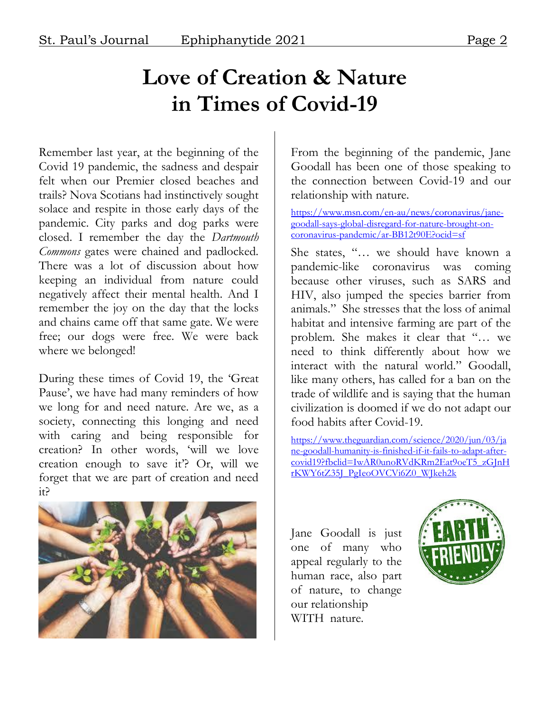### **Love of Creation & Nature in Times of Covid-19**

Remember last year, at the beginning of the Covid 19 pandemic, the sadness and despair felt when our Premier closed beaches and trails? Nova Scotians had instinctively sought solace and respite in those early days of the pandemic. City parks and dog parks were closed. I remember the day the *Dartmouth Commons* gates were chained and padlocked. There was a lot of discussion about how keeping an individual from nature could negatively affect their mental health. And I remember the joy on the day that the locks and chains came off that same gate. We were free; our dogs were free. We were back where we belonged!

During these times of Covid 19, the 'Great Pause', we have had many reminders of how we long for and need nature. Are we, as a society, connecting this longing and need with caring and being responsible for creation? In other words, 'will we love creation enough to save it'? Or, will we forget that we are part of creation and need it?



From the beginning of the pandemic, Jane Goodall has been one of those speaking to the connection between Covid-19 and our relationship with nature.

[https://www.msn.com/en-au/news/coronavirus/jane](https://www.msn.com/en-au/news/coronavirus/jane-goodall-says-global-disregard-for-nature-brought-on-coronavirus-pandemic/ar-BB12t90E?ocid=sf)[goodall-says-global-disregard-for-nature-brought-on](https://www.msn.com/en-au/news/coronavirus/jane-goodall-says-global-disregard-for-nature-brought-on-coronavirus-pandemic/ar-BB12t90E?ocid=sf)[coronavirus-pandemic/ar-BB12t90E?ocid=sf](https://www.msn.com/en-au/news/coronavirus/jane-goodall-says-global-disregard-for-nature-brought-on-coronavirus-pandemic/ar-BB12t90E?ocid=sf)

She states, "… we should have known a pandemic-like coronavirus was coming because other viruses, such as SARS and HIV, also jumped the species barrier from animals." She stresses that the loss of animal habitat and intensive farming are part of the problem. She makes it clear that "… we need to think differently about how we interact with the natural world." Goodall, like many others, has called for a ban on the trade of wildlife and is saying that the human civilization is doomed if we do not adapt our food habits after Covid-19.

[https://www.theguardian.com/science/2020/jun/03/ja](https://www.theguardian.com/science/2020/jun/03/jane-goodall-humanity-is-finished-if-it-fails-to-adapt-after-covid19?fbclid=IwAR0unoRVdKRm2Eat9oeT5_zGJnHrKWY6tZ35J_PgIeoOVCVi6Z0_WJkeh2k) [ne-goodall-humanity-is-finished-if-it-fails-to-adapt-after](https://www.theguardian.com/science/2020/jun/03/jane-goodall-humanity-is-finished-if-it-fails-to-adapt-after-covid19?fbclid=IwAR0unoRVdKRm2Eat9oeT5_zGJnHrKWY6tZ35J_PgIeoOVCVi6Z0_WJkeh2k)[covid19?fbclid=IwAR0unoRVdKRm2Eat9oeT5\\_zGJnH](https://www.theguardian.com/science/2020/jun/03/jane-goodall-humanity-is-finished-if-it-fails-to-adapt-after-covid19?fbclid=IwAR0unoRVdKRm2Eat9oeT5_zGJnHrKWY6tZ35J_PgIeoOVCVi6Z0_WJkeh2k) [rKWY6tZ35J\\_PgIeoOVCVi6Z0\\_WJkeh2k](https://www.theguardian.com/science/2020/jun/03/jane-goodall-humanity-is-finished-if-it-fails-to-adapt-after-covid19?fbclid=IwAR0unoRVdKRm2Eat9oeT5_zGJnHrKWY6tZ35J_PgIeoOVCVi6Z0_WJkeh2k)

Jane Goodall is just one of many who appeal regularly to the human race, also part of nature, to change our relationship WITH nature.

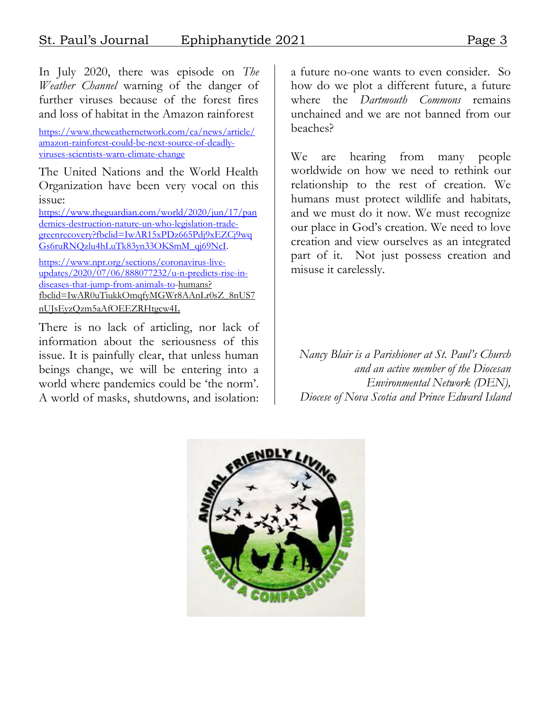In July 2020, there was episode on *The Weather Channel* warning of the danger of further viruses because of the forest fires and loss of habitat in the Amazon rainforest

[https://www.theweathernetwork.com/ca/news/article/](https://www.theweathernetwork.com/ca/news/article/amazon-rainforest-could-be-next-source-of-deadly-viruses-scientists-warn-climate-change) [amazon-rainforest-could-be-next-source-of-deadly](https://www.theweathernetwork.com/ca/news/article/amazon-rainforest-could-be-next-source-of-deadly-viruses-scientists-warn-climate-change)[viruses-scientists-warn-climate-change](https://www.theweathernetwork.com/ca/news/article/amazon-rainforest-could-be-next-source-of-deadly-viruses-scientists-warn-climate-change)

The United Nations and the World Health Organization have been very vocal on this issue:

[https://www.theguardian.com/world/2020/jun/17/pan](https://www.theguardian.com/world/2020/jun/17/pandemics-destruction-nature-un-who-legislation-trade-greenrecovery?fbclid=IwAR15xPDz665Pdj9xEZCj9wqGs6ruRNQzlu4hLuTk83yn33OKSmM_qj69NcI) [demics-destruction-nature-un-who-legislation-trade](https://www.theguardian.com/world/2020/jun/17/pandemics-destruction-nature-un-who-legislation-trade-greenrecovery?fbclid=IwAR15xPDz665Pdj9xEZCj9wqGs6ruRNQzlu4hLuTk83yn33OKSmM_qj69NcI)[greenrecovery?fbclid=IwAR15xPDz665Pdj9xEZCj9wq](https://www.theguardian.com/world/2020/jun/17/pandemics-destruction-nature-un-who-legislation-trade-greenrecovery?fbclid=IwAR15xPDz665Pdj9xEZCj9wqGs6ruRNQzlu4hLuTk83yn33OKSmM_qj69NcI) [Gs6ruRNQzlu4hLuTk83yn33OKSmM\\_qj69NcI.](https://www.theguardian.com/world/2020/jun/17/pandemics-destruction-nature-un-who-legislation-trade-greenrecovery?fbclid=IwAR15xPDz665Pdj9xEZCj9wqGs6ruRNQzlu4hLuTk83yn33OKSmM_qj69NcI)

[https://www.npr.org/sections/coronavirus-live](https://www.npr.org/sections/coronavirus-live-updates/2020/07/06/888077232/u-n-predicts-rise-in-diseases-that-jump-from-animals-to)[updates/2020/07/06/888077232/u-n-predicts-rise-in](https://www.npr.org/sections/coronavirus-live-updates/2020/07/06/888077232/u-n-predicts-rise-in-diseases-that-jump-from-animals-to)[diseases-that-jump-from-animals-to-](https://www.npr.org/sections/coronavirus-live-updates/2020/07/06/888077232/u-n-predicts-rise-in-diseases-that-jump-from-animals-to)humans? fbclid=IwAR0uTiukkOmqfyMGWr8AAnLr0sZ\_8nUS7 nUJsEyzQzm5aAfOEEZRHtgcw4I.

There is no lack of articling, nor lack of information about the seriousness of this issue. It is painfully clear, that unless human beings change, we will be entering into a world where pandemics could be 'the norm'. A world of masks, shutdowns, and isolation:

a future no-one wants to even consider. So how do we plot a different future, a future where the *Dartmouth Commons* remains unchained and we are not banned from our beaches?

We are hearing from many people worldwide on how we need to rethink our relationship to the rest of creation. We humans must protect wildlife and habitats, and we must do it now. We must recognize our place in God's creation. We need to love creation and view ourselves as an integrated part of it. Not just possess creation and misuse it carelessly.

*Nancy Blair is a Parishioner at St. Paul's Church and an active member of the Diocesan Environmental Network (DEN), Diocese of Nova Scotia and Prince Edward Island*

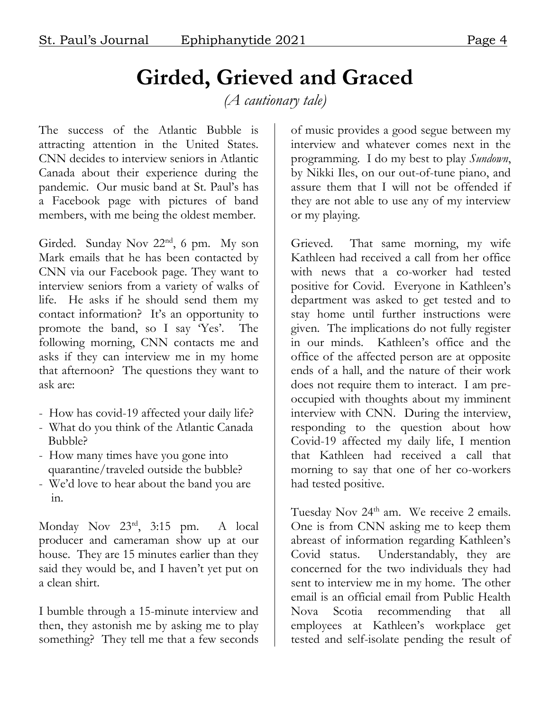## **Girded, Grieved and Graced**

*(A cautionary tale)*

The success of the Atlantic Bubble is attracting attention in the United States. CNN decides to interview seniors in Atlantic Canada about their experience during the pandemic. Our music band at St. Paul's has a Facebook page with pictures of band members, with me being the oldest member.

Girded. Sunday Nov 22<sup>nd</sup>, 6 pm. My son Mark emails that he has been contacted by CNN via our Facebook page. They want to interview seniors from a variety of walks of life. He asks if he should send them my contact information? It's an opportunity to promote the band, so I say 'Yes'. The following morning, CNN contacts me and asks if they can interview me in my home that afternoon? The questions they want to ask are:

- How has covid-19 affected your daily life?
- What do you think of the Atlantic Canada Bubble?
- How many times have you gone into quarantine/traveled outside the bubble?
- We'd love to hear about the band you are in.

Monday Nov 23rd, 3:15 pm. A local producer and cameraman show up at our house. They are 15 minutes earlier than they said they would be, and I haven't yet put on a clean shirt.

I bumble through a 15-minute interview and then, they astonish me by asking me to play something? They tell me that a few seconds

of music provides a good segue between my interview and whatever comes next in the programming. I do my best to play *Sundown*, by Nikki Iles, on our out-of-tune piano, and assure them that I will not be offended if they are not able to use any of my interview or my playing.

Grieved. That same morning, my wife Kathleen had received a call from her office with news that a co-worker had tested positive for Covid. Everyone in Kathleen's department was asked to get tested and to stay home until further instructions were given. The implications do not fully register in our minds. Kathleen's office and the office of the affected person are at opposite ends of a hall, and the nature of their work does not require them to interact. I am preoccupied with thoughts about my imminent interview with CNN. During the interview, responding to the question about how Covid-19 affected my daily life, I mention that Kathleen had received a call that morning to say that one of her co-workers had tested positive.

Tuesday Nov 24<sup>th</sup> am. We receive 2 emails. One is from CNN asking me to keep them abreast of information regarding Kathleen's Covid status. Understandably, they are concerned for the two individuals they had sent to interview me in my home. The other email is an official email from Public Health Nova Scotia recommending that all employees at Kathleen's workplace get tested and self-isolate pending the result of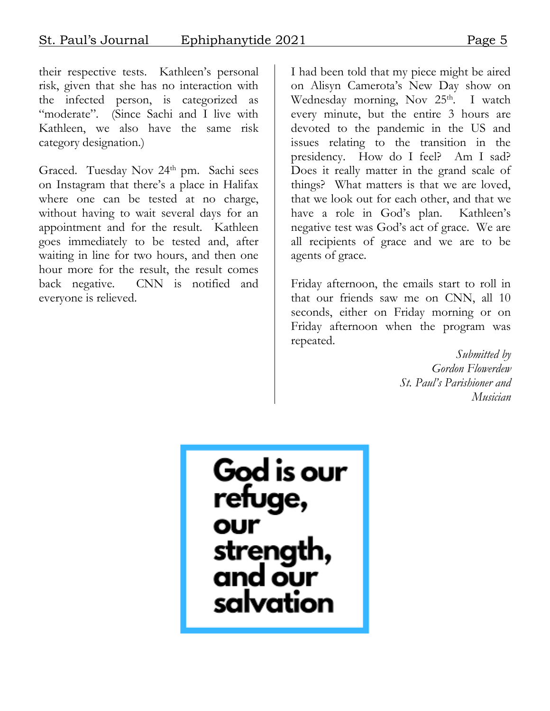their respective tests. Kathleen's personal risk, given that she has no interaction with the infected person, is categorized as "moderate". (Since Sachi and I live with Kathleen, we also have the same risk category designation.)

Graced. Tuesday Nov  $24<sup>th</sup>$  pm. Sachi sees on Instagram that there's a place in Halifax where one can be tested at no charge, without having to wait several days for an appointment and for the result. Kathleen goes immediately to be tested and, after waiting in line for two hours, and then one hour more for the result, the result comes back negative. CNN is notified and everyone is relieved.

I had been told that my piece might be aired on Alisyn Camerota's New Day show on Wednesday morning, Nov  $25<sup>th</sup>$ . I watch every minute, but the entire 3 hours are devoted to the pandemic in the US and issues relating to the transition in the presidency. How do I feel? Am I sad? Does it really matter in the grand scale of things? What matters is that we are loved, that we look out for each other, and that we have a role in God's plan. Kathleen's negative test was God's act of grace. We are all recipients of grace and we are to be agents of grace.

Friday afternoon, the emails start to roll in that our friends saw me on CNN, all 10 seconds, either on Friday morning or on Friday afternoon when the program was repeated.

> *Submitted by Gordon Flowerdew St. Paul's Parishioner and Musician*

God is our refuge, our strength<br>and our salvation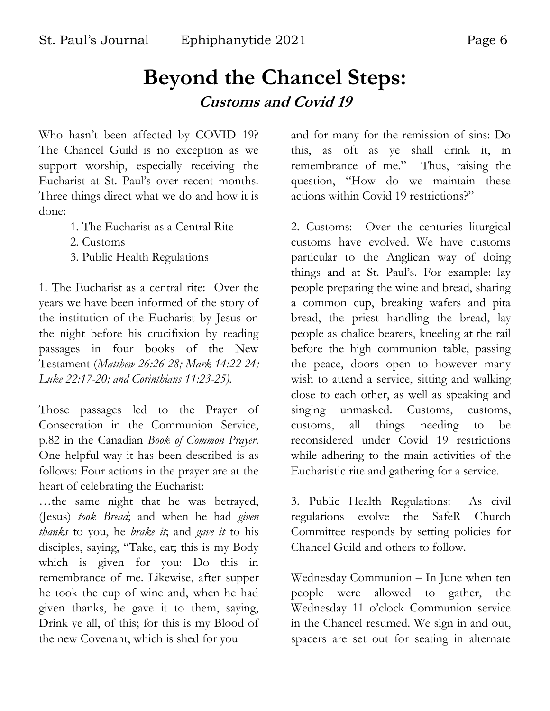#### **Beyond the Chancel Steps: Customs and Covid 19**

Who hasn't been affected by COVID 19? The Chancel Guild is no exception as we support worship, especially receiving the Eucharist at St. Paul's over recent months. Three things direct what we do and how it is done:

- 1. The Eucharist as a Central Rite
- 2. Customs
- 3. Public Health Regulations

1. The Eucharist as a central rite: Over the years we have been informed of the story of the institution of the Eucharist by Jesus on the night before his crucifixion by reading passages in four books of the New Testament (*Matthew 26:26-28; Mark 14:22-24; Luke 22:17-20; and Corinthians 11:23-25).*

Those passages led to the Prayer of Consecration in the Communion Service, p.82 in the Canadian *Book of Common Prayer*. One helpful way it has been described is as follows: Four actions in the prayer are at the heart of celebrating the Eucharist:

…the same night that he was betrayed, (Jesus) *took Bread*; and when he had *given thanks* to you, he *brake it*; and *gave it* to his disciples, saying, "Take, eat; this is my Body which is given for you: Do this in remembrance of me. Likewise, after supper he took the cup of wine and, when he had given thanks, he gave it to them, saying, Drink ye all, of this; for this is my Blood of the new Covenant, which is shed for you

and for many for the remission of sins: Do this, as oft as ye shall drink it, in remembrance of me." Thus, raising the question, "How do we maintain these actions within Covid 19 restrictions?"

2. Customs: Over the centuries liturgical customs have evolved. We have customs particular to the Anglican way of doing things and at St. Paul's. For example: lay people preparing the wine and bread, sharing a common cup, breaking wafers and pita bread, the priest handling the bread, lay people as chalice bearers, kneeling at the rail before the high communion table, passing the peace, doors open to however many wish to attend a service, sitting and walking close to each other, as well as speaking and singing unmasked. Customs, customs, customs, all things needing to be reconsidered under Covid 19 restrictions while adhering to the main activities of the Eucharistic rite and gathering for a service.

3. Public Health Regulations: As civil regulations evolve the SafeR Church Committee responds by setting policies for Chancel Guild and others to follow.

Wednesday Communion – In June when ten people were allowed to gather, the Wednesday 11 o'clock Communion service in the Chancel resumed. We sign in and out, spacers are set out for seating in alternate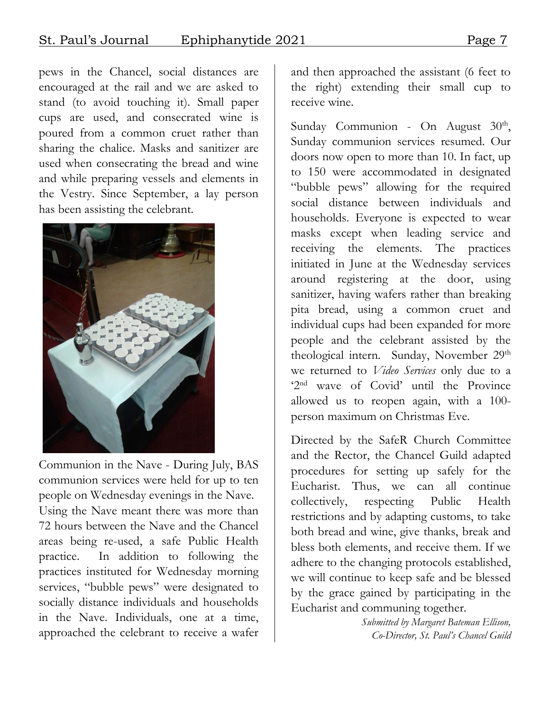pews in the Chancel, social distances are encouraged at the rail and we are asked to stand (to avoid touching it). Small paper cups are used, and consecrated wine is poured from a common cruet rather than sharing the chalice. Masks and sanitizer are used when consecrating the bread and wine and while preparing vessels and elements in the Vestry. Since September, a lay person has been assisting the celebrant.



Communion in the Nave - During July, BAS communion services were held for up to ten people on Wednesday evenings in the Nave. Using the Nave meant there was more than 72 hours between the Nave and the Chancel areas being re-used, a safe Public Health practice. In addition to following the practices instituted for Wednesday morning services, "bubble pews" were designated to socially distance individuals and households in the Nave. Individuals, one at a time, approached the celebrant to receive a wafer

and then approached the assistant (6 feet to the right) extending their small cup to receive wine.

Sunday Communion - On August 30<sup>th</sup>, Sunday communion services resumed. Our doors now open to more than 10. In fact, up to 150 were accommodated in designated "bubble pews" allowing for the required social distance between individuals and households. Everyone is expected to wear masks except when leading service and receiving the elements. The practices initiated in June at the Wednesday services around registering at the door, using sanitizer, having wafers rather than breaking pita bread, using a common cruet and individual cups had been expanded for more people and the celebrant assisted by the theological intern. Sunday, November 29<sup>th</sup> we returned to *Video Services* only due to a '2nd wave of Covid' until the Province allowed us to reopen again, with a 100 person maximum on Christmas Eve.

Directed by the SafeR Church Committee and the Rector, the Chancel Guild adapted procedures for setting up safely for the Eucharist. Thus, we can all continue collectively, respecting Public Health restrictions and by adapting customs, to take both bread and wine, give thanks, break and bless both elements, and receive them. If we adhere to the changing protocols established, we will continue to keep safe and be blessed by the grace gained by participating in the Eucharist and communing together.

> *Submitted by Margaret Bateman Ellison, Co-Director, St. Paul's Chancel Guild*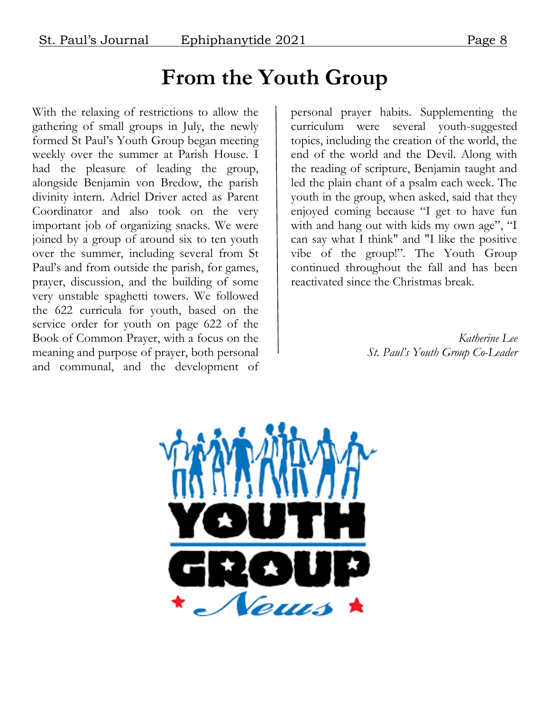#### **From the Youth Group**

With the relaxing of restrictions to allow the gathering of small groups in July, the newly formed St Paul's Youth Group began meeting weekly over the summer at Parish House. I had the pleasure of leading the group, alongside Benjamin von Bredow, the parish divinity intern. Adriel Driver acted as Parent Coordinator and also took on the very important job of organizing snacks. We were joined by a group of around six to ten youth over the summer, including several from St Paul's and from outside the parish, for games, prayer, discussion, and the building of some very unstable spaghetti towers. We followed the 622 curricula for youth, based on the service order for youth on page 622 of the Book of Common Prayer, with a focus on the meaning and purpose of prayer, both personal and communal, and the development of

personal prayer habits. Supplementing the curriculum were several youth-suggested topics, including the creation of the world, the end of the world and the Devil. Along with the reading of scripture, Benjamin taught and led the plain chant of a psalm each week. The youth in the group, when asked, said that they enjoyed coming because "I get to have fun with and hang out with kids my own age", "I can say what I think" and "I like the positive vibe of the group!". The Youth Group continued throughout the fall and has been reactivated since the Christmas break.

> *Katherine Lee St. Paul's Youth Group Co-Leader*

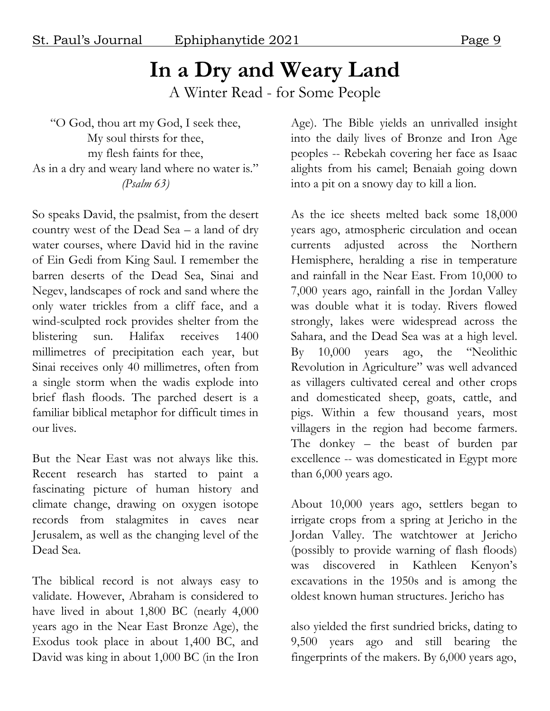# **In a Dry and Weary Land**

A Winter Read - for Some People

"O God, thou art my God, I seek thee, My soul thirsts for thee, my flesh faints for thee, As in a dry and weary land where no water is." *(Psalm 63)*

So speaks David, the psalmist, from the desert country west of the Dead Sea – a land of dry water courses, where David hid in the ravine of Ein Gedi from King Saul. I remember the barren deserts of the Dead Sea, Sinai and Negev, landscapes of rock and sand where the only water trickles from a cliff face, and a wind-sculpted rock provides shelter from the blistering sun. Halifax receives 1400 millimetres of precipitation each year, but Sinai receives only 40 millimetres, often from a single storm when the wadis explode into brief flash floods. The parched desert is a familiar biblical metaphor for difficult times in our lives.

But the Near East was not always like this. Recent research has started to paint a fascinating picture of human history and climate change, drawing on oxygen isotope records from stalagmites in caves near Jerusalem, as well as the changing level of the Dead Sea.

The biblical record is not always easy to validate. However, Abraham is considered to have lived in about 1,800 BC (nearly 4,000 years ago in the Near East Bronze Age), the Exodus took place in about 1,400 BC, and David was king in about 1,000 BC (in the Iron

Age). The Bible yields an unrivalled insight into the daily lives of Bronze and Iron Age peoples -- Rebekah covering her face as Isaac alights from his camel; Benaiah going down into a pit on a snowy day to kill a lion.

As the ice sheets melted back some 18,000 years ago, atmospheric circulation and ocean currents adjusted across the Northern Hemisphere, heralding a rise in temperature and rainfall in the Near East. From 10,000 to 7,000 years ago, rainfall in the Jordan Valley was double what it is today. Rivers flowed strongly, lakes were widespread across the Sahara, and the Dead Sea was at a high level. By 10,000 years ago, the "Neolithic Revolution in Agriculture" was well advanced as villagers cultivated cereal and other crops and domesticated sheep, goats, cattle, and pigs. Within a few thousand years, most villagers in the region had become farmers. The donkey – the beast of burden par excellence -- was domesticated in Egypt more than 6,000 years ago.

About 10,000 years ago, settlers began to irrigate crops from a spring at Jericho in the Jordan Valley. The watchtower at Jericho (possibly to provide warning of flash floods) was discovered in Kathleen Kenyon's excavations in the 1950s and is among the oldest known human structures. Jericho has

also yielded the first sundried bricks, dating to 9,500 years ago and still bearing the fingerprints of the makers. By 6,000 years ago,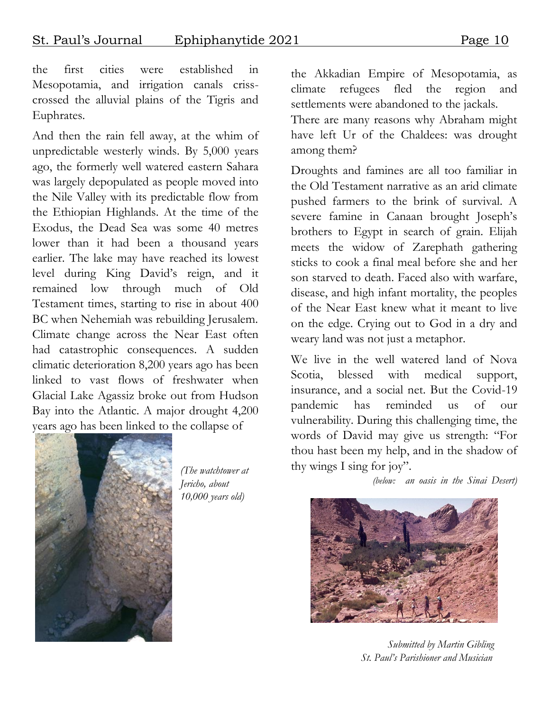the first cities were established in Mesopotamia, and irrigation canals crisscrossed the alluvial plains of the Tigris and Euphrates.

And then the rain fell away, at the whim of unpredictable westerly winds. By 5,000 years ago, the formerly well watered eastern Sahara was largely depopulated as people moved into the Nile Valley with its predictable flow from the Ethiopian Highlands. At the time of the Exodus, the Dead Sea was some 40 metres lower than it had been a thousand years earlier. The lake may have reached its lowest level during King David's reign, and it remained low through much of Old Testament times, starting to rise in about 400 BC when Nehemiah was rebuilding Jerusalem. Climate change across the Near East often had catastrophic consequences. A sudden climatic deterioration 8,200 years ago has been linked to vast flows of freshwater when Glacial Lake Agassiz broke out from Hudson Bay into the Atlantic. A major drought 4,200 years ago has been linked to the collapse of



*(The watchtower at Jericho, about 10,000 years old)*

the Akkadian Empire of Mesopotamia, as climate refugees fled the region and settlements were abandoned to the jackals.

There are many reasons why Abraham might have left Ur of the Chaldees: was drought among them?

Droughts and famines are all too familiar in the Old Testament narrative as an arid climate pushed farmers to the brink of survival. A severe famine in Canaan brought Joseph's brothers to Egypt in search of grain. Elijah meets the widow of Zarephath gathering sticks to cook a final meal before she and her son starved to death. Faced also with warfare, disease, and high infant mortality, the peoples of the Near East knew what it meant to live on the edge. Crying out to God in a dry and weary land was not just a metaphor.

We live in the well watered land of Nova Scotia, blessed with medical support, insurance, and a social net. But the Covid-19 pandemic has reminded us of our vulnerability. During this challenging time, the words of David may give us strength: "For thou hast been my help, and in the shadow of thy wings I sing for joy".

 *(below: an oasis in the Sinai Desert)* 



 *Submitted by Martin Gibling St. Paul's Parishioner and Musician*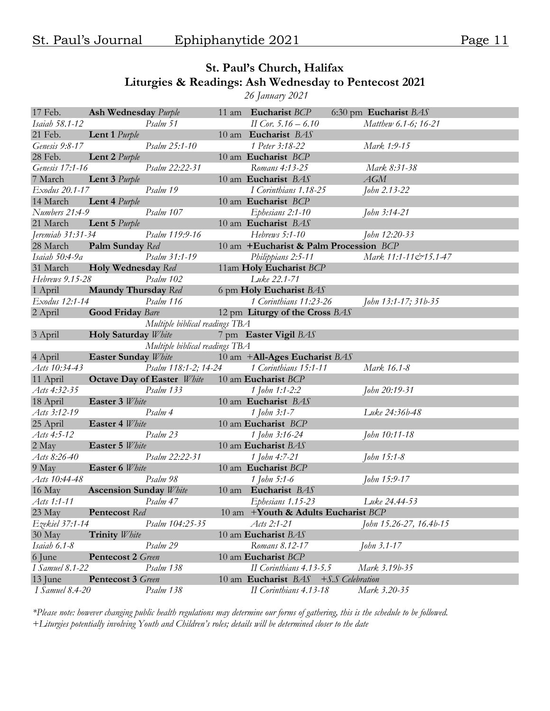#### **St. Paul's Church, Halifax Liturgies & Readings: Ash Wednesday to Pentecost 2021**

*26 January 2021* 

| 17 Feb.                | <b>Ash Wednesday</b> Purple   |                                   |                 | 11 am Eucharist BCP                                      | 6:30 pm Eucharist BAS      |
|------------------------|-------------------------------|-----------------------------------|-----------------|----------------------------------------------------------|----------------------------|
| Isaiah 58.1-12         |                               | Psalm 51                          |                 | II Cor. $5.16 - 6.10$                                    | Matthew 6.1-6; 16-21       |
| 21 Feb.                | <b>Lent 1</b> Purple          |                                   |                 | 10 am Eucharist BAS                                      |                            |
| Genesis 9:8-17         |                               | Psalm 25:1-10                     |                 | 1 Peter 3:18-22                                          | Mark 1:9-15                |
| 28 Feb.                | <b>Lent 2</b> <i>Purple</i>   |                                   |                 | 10 am Eucharist BCP                                      |                            |
| Genesis 17:1-16        |                               | Psalm 22:22-31                    |                 | Romans 4:13-25                                           | Mark 8:31-38               |
| 7 March                | <b>Lent 3</b> Purple          |                                   |                 | 10 am Eucharist BAS                                      | AGM                        |
| Exodus 20.1-17         |                               | Psalm 19                          |                 | I Corinthians 1.18-25                                    | John 2.13-22               |
| 14 March               | Lent 4 Purple                 |                                   |                 | 10 am Eucharist BCP                                      |                            |
| Numbers 21:4-9         |                               | Psalm 107                         |                 | Ephesians 2:1-10                                         | John 3:14-21               |
| 21 March               | Lent 5 Purple                 |                                   |                 | 10 am Eucharist BAS                                      |                            |
| Jeremiah 31:31-34      |                               | Psalm 119:9-16                    |                 | Hebrews 5:1-10                                           | John 12:20-33              |
| 28 March               | Palm Sunday Red               |                                   |                 | 10 am +Eucharist & Palm Procession BCP                   |                            |
| Isaiah 50:4-9a         |                               | Psalm 31:1-19                     |                 | Philippians 2:5-11                                       | Mark 11:1-11&15.1-47       |
| 31 March               | Holy Wednesday Red            |                                   |                 | 11am Holy Eucharist BCP                                  |                            |
| Hebrews 9.15-28        |                               | Psalm 102                         |                 | Luke 22.1-71                                             |                            |
| 1 April                | <b>Maundy Thursday</b> Red    |                                   |                 | 6 pm Holy Eucharist BAS                                  |                            |
| Exodus 12:1-14         |                               | Psalm 116                         |                 | 1 Corinthians 11:23-26                                   | John 13:1-17; 31b-35       |
| 2 April                | <b>Good Friday Bare</b>       |                                   |                 | 12 pm Liturgy of the Cross BAS                           |                            |
|                        |                               | Multiple biblical readings TBA    |                 |                                                          |                            |
| 3 April                | Holy Saturday White           |                                   |                 | 7 pm Easter Vigil BAS                                    |                            |
|                        |                               | Multiple biblical readings TBA    |                 |                                                          |                            |
| 4 April                | <b>Easter Sunday White</b>    |                                   |                 | 10 am +All-Ages Eucharist BAS                            |                            |
| Acts 10:34-43          |                               | Psalm 118:1-2; 14-24              |                 | 1 Corinthians 15:1-11                                    | Mark 16.1-8                |
| 11 April               |                               | <b>Octave Day of Easter</b> White |                 | 10 am Eucharist BCP                                      |                            |
|                        |                               |                                   |                 |                                                          |                            |
| Acts 4:32-35           |                               | Psalm 133                         |                 | 1 John 1:1-2:2                                           | John 20:19-31              |
| 18 April               | Easter 3 White                |                                   |                 | 10 am Eucharist BAS                                      |                            |
| Acts 3:12-19           |                               | Psalm 4                           |                 | 1 John 3:1-7                                             | Luke 24:36b-48             |
| 25 April               |                               |                                   |                 | 10 am Eucharist BCP                                      |                            |
| Acts 4:5-12            | Easter 4 White                | Psalm 23                          |                 | 1 John 3:16-24                                           | John 10:11-18              |
| 2 May                  | Easter 5 White                |                                   |                 | 10 am Eucharist BAS                                      |                            |
| Acts 8:26-40           |                               | Psalm 22:22-31                    |                 | 1 John 4:7-21                                            | John 15:1-8                |
| 9 May                  | Easter 6 White                |                                   |                 | 10 am Eucharist BCP                                      |                            |
| Acts 10:44-48          |                               | Psalm 98                          |                 |                                                          |                            |
|                        |                               |                                   | $10 \text{ am}$ | 1 John 5:1-6<br>Eucharist BAS                            | John 15:9-17               |
| 16 May<br>Acts 1:1-11  | <b>Ascension Sunday White</b> | Psalm 47                          |                 |                                                          | Luke 24.44-53              |
|                        |                               |                                   |                 | Ephesians 1.15-23<br>10 am +Youth & Adults Eucharist BCP |                            |
| 23 May                 | Pentecost Red                 | Psalm 104:25-35                   |                 | Acts 2:1-21                                              |                            |
| Ezekiel 37:1-14        | Trinity White                 |                                   |                 | 10 am Eucharist BAS                                      | John 15.26-27, 16.4b-15    |
| 30 May<br>Isaiah 6.1-8 |                               | Psalm 29                          |                 | Romans 8.12-17                                           |                            |
| 6 June                 | Pentecost 2 Green             |                                   |                 | 10 am Eucharist BCP                                      | John 3.1-17                |
| I Samuel 8.1-22        |                               | Psalm 138                         |                 | II Corinthians 4.13-5.5                                  | Mark 3.19b-35              |
| 13 June                | <b>Pentecost 3 Green</b>      |                                   |                 | 10 am Eucharist BAS                                      | $+$ <i>S.S</i> Celebration |

*\*Please note: however changing public health regulations may determine our forms of gathering, this is the schedule to be followed. +Liturgies potentially involving Youth and Children's roles; details will be determined closer to the date*